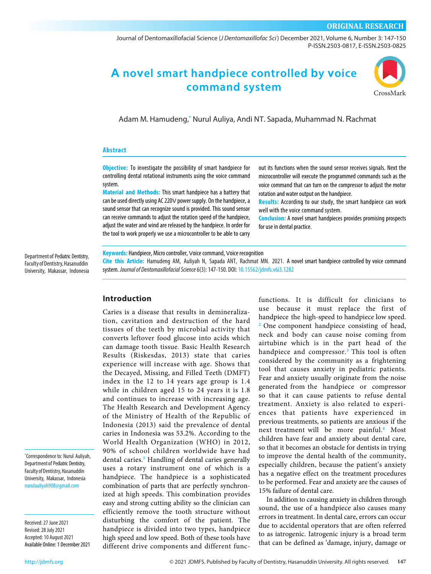### **ORIGINAL RESEARCH**

[Journal of Dentomaxillofacial Science \(](http://jdmfs.org)*J Dentomaxillofac Sci* ) December 2021, Volume 6, Number 3: 147-150 P-ISSN.2503-0817, E-ISSN.2503-0825

# **A novel smart handpiece controlled by voice command system**



Adam M. Hamudeng, **\*** Nurul Auliya, Andi NT. Sapada, Muhammad N. Rachmat

#### **Abstract**

**Objective:** To investigate the possibility of smart handpiece for controlling dental rotational instruments using the voice command system.

**Material and Methods:** This smart handpiece has a battery that can be used directly using AC 220V power supply. On the handpiece, a sound sensor that can recognize sound is provided. This sound sensor can receive commands to adjust the rotation speed of the handpiece, adjust the water and wind are released by the handpiece. In order for the tool to work properly we use a microcontroller to be able to carry

out its functions when the sound sensor receives signals. Next the microcontroller will execute the programmed commands such as the voice command that can turn on the compressor to adjust the motor rotation and water output on the handpiece.

**Results:** According to our study, the smart handpiece can work well with the voice command system.

**Conclusion:** A novel smart handpieces provides promising prospects for use in dental practice.

Department of Pediatric Dentistry, Faculty of Dentistry, Hasanuddin University, Makassar, Indonesia **Keywords:** Handpiece, Micro controller, Voice command, Voice recognition

**Cite this Article:** Hamudeng AM, Auliyah N, Sapada ANT, Rachmat MN. 2021. A novel smart handpiece controlled by voice command system. *Journal of Dentomaxillofacial Science* 6(3): 147-150. DOI: 10.15562/jdmfs.v6i3.1282

# **Introduction**

Caries is a disease that results in demineralization, cavitation and destruction of the hard tissues of the teeth by microbial activity that converts lefto[ve](#page-3-0)r food glucose into acids which can damage tooth tissue. Basic Health Research Results (Riskesdas, 2013) state that caries experience will increase with age. Shows that the Decayed, Missing, and Filled Teeth (DMFT) index in the 12 to 14 years age group is 1.4 while in children aged 15 to 24 years it is 1.8 and continues to increase [wit](#page-3-0)h increasing age. The Health Research and Development Agency of the Ministry of Health of the Republic of Indonesia (2013) said the prevalence of dental caries in Indonesia was 53.2%. According to the World Health Organization (WHO) in 2012, 90% of school children worldwide have had dental caries. **<sup>1</sup>** Handling of dental caries generally uses a rotary instrument one of which is a handpiece. Th[e](#page-3-0) handpiece is a sophisticated combination of parts that are perfectly synchronized at high speeds. This combinati[on](#page-3-0) provides easy and strong cutting ability so the clinician can efficiently remove the tooth structure without disturbing the comfort of the patient. The handpiece is divided into two types, handpiece high speed and low speed. Both of these tools have different drive components and different funcfunctions. It is difficult for clinicians to use because it must replace the first of handpi[ece](#page-3-0) the high-speed to handpiece low speed. **<sup>2</sup>** One component handpiece consisting of head, neck and body can cause noise coming from airtubine which is in the part head of the handpiece and compressor.**<sup>3</sup>** This tool is often considered by the community as a frightening tool that causes anxiety in pediatric patients. Fear and anxiety usually originate from the noise generated from the handpiece or compressor so that it can cause patients to refuse dental treatment. Anxiety is also related to experiences that patients have experienced in previous treatments, so patients are anxious if the next treatment will be more painful.**<sup>4</sup>** Most children have fear and anxiety about dental care, so that it becomes an obstacle for dentists in trying to improve the dental health of the community, especially children, because the patient's anxiety has a negative effect on the treatment procedures to be performed. Fear and anxiety are the causes of 15% failure of dental care.

In addition to causing anxiety in children through sound, the use of a handpiece also causes many errors in treatment. In dental care, errors can occur due to accidental operators that are often referred to as iatrogenic. Iatrogenic injury is a broad term that can be defined as 'damage, injury, damage or

**\*** Correspondence to: Nurul Auliyah, Department of Pediatric Dentistry, Faculty of Dentistry, Hasanuddin University, Makassar, Indonesia nurulauliyah908@gmail.com

Received: 27 June 2021 Revised: 28 July 2021 Accepted: 10 August 2021 Available Online: 1 December 2021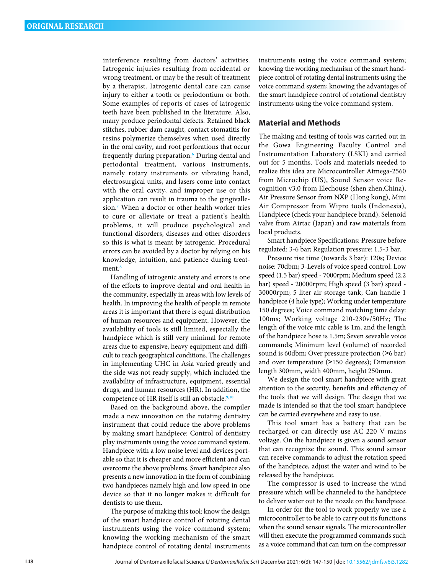interference resulting from doctors' activities. Iatrogenic injuries resulting from accidental or wrong treatment, or may be the result of treatment by a therapist. Iatrogenic dental care can cause injury to either a tooth or periodontium or both. Some examples of reports of cases of iatrogenic teeth have been published in the literature. Also, many produce periodontal defects. Retained black stitches, rubber dam caught, contact stomatitis for resins polymerize themselves when used directly in the oral cavity, and root perforations that occur frequently during preparation.**<sup>6</sup>** During dental and periodontal treatment, various instrume[nt](#page-3-0)s, namely rotary instruments or vibrating hand, electrosurgical units, and lasers come into contact with the oral cavity, and improper use or this application can result in trauma to the gingivallesion.**<sup>7</sup>** When a doctor or other health worker tries to cure or alleviate or treat a patient's health problems, it will produce psychological and functional disorders, diseases and other disorders so this is what is meant by iatrogenic. Procedural errors can be avoided by a doctor by relying on his knowledge, intuition, and patience during treatment.**<sup>8</sup>**

Handling of iatrogenic anxiet[y a](#page-3-0)nd errors is one of the efforts to improve dental and oral health in the community, especially in areas with low levels of health. In improving the health of people in remote areas it is important that there is equal distribution of human resources and equipment. However, the availability of tools is still limited, especially the handpiece which is still very minimal for [rem](#page-3-0)ote areas due to expensive, heavy equipment and difficult to reach geographical conditions. The challenges in implementing UHC in Asia varied greatly and the side was not ready supply, which included the availability of infrastructure, equipment, essential drugs, and human resources (HR). In addition, the competence of HR itself is still an obstacle.**9,10**

Based on the background above, the compiler made a new innovation on the rotating dentistry instrument that could reduce the above problems by making smart handpiece: Control of dentistry play instruments using the voice command system. Handpiece with a low noise level and devices portable so that it is cheaper and more efficient and can overcome the above problems. Smart handpiece also presents a new innovation in the form of combining two handpieces namely high and low speed in one device so that it no longer makes it difficult for dentists to use them.

The purpose of making this tool: know the design of the smart handpiece control of rotating dental instruments using the voice command system; knowing the working mechanism of the smart handpiece control of rotating dental instruments

instruments using the voice command system; knowing the working mechanism of the smart handpiece control of rotating dental instruments using the voice command system; knowing the advantages of the smart handpiece control of rotational dentistry instruments using the voice command system.

#### **Material and Methods**

The making and testing of tools was carried out in th[e Gowa](#page-2-0) Engineering Faculty Control and Instrumentation Laboratory (LSKI) and carried out for 5 months. Tools and materials needed to realize this idea are Microcontroller Atmega-2560 from Micro[chip \(US](#page-2-0)), Sound Sensor voice Recognition v3.0 from Elechouse (shen zhen,China), Air Pressure Sensor from NXP (Hong kong), Mini Air Compressor from Wipro tools (Indonesia), Handpiece (c[heck you](#page-2-0)r handpiece brand), Selenoid valve from Airtac (Japan) and raw materials from local products.

Smart handpiece Specifications: Pressure before regulated: 3-6 bar; Regulation pressure: 1.5-3 bar.

Pressure rise time (towards 3 bar): 120s; Device noise: 70dbm; 3-Levels of voice speed control: Low speed (1.5 bar) speed - 7000rpm; Medium speed (2.2 bar) speed - 20000rpm; High speed (3 bar) speed - 30000rpm; 5 liter air storage tank; Can handle 1 handpiece (4 hole type); Working under temperature 150 degrees; Voice command matching time delay: 100ms; Working voltage 210-230v/50Hz; The length of the voice mic cable is 1m, and the length of the handpiece hose is 1.5m; Seven seveable voice commands; Minimum level (volume) of recorded sou[nd](#page-3-0) is 60dbm; Over pressure protection (>6 bar) and over temperature (>150 degrees); Dimension length 300mm, width 400mm, height 250mm.

We design the tool smart handpiece with great attention to the security, benefits and efficiency of the tools that we will design. The design that we made is intended so that the tool smart handpiece can be carried everywhere and easy to use.

This tool smart has a battery that can be recharged or can directly use AC 220 V mains voltage. On the handpiece is given a sound sensor that can recognize the sound. This sound sensor can receive commands to adj[ust](#page-3-0) the rotation speed of the handpiece, adjust the water and wind to be released by the handpiece.

The compressor is used to increase the wind pressure which will be channeled to the handpiece to deliver water out to the nozzle on the handpiece.

In order for the tool to work properly we use a microcontroller to be able to carry out its functions when the so[un](#page-3-0)d sensor signals. The microcontroller will then execute the programmed commands such as a voice command that can turn on the compressor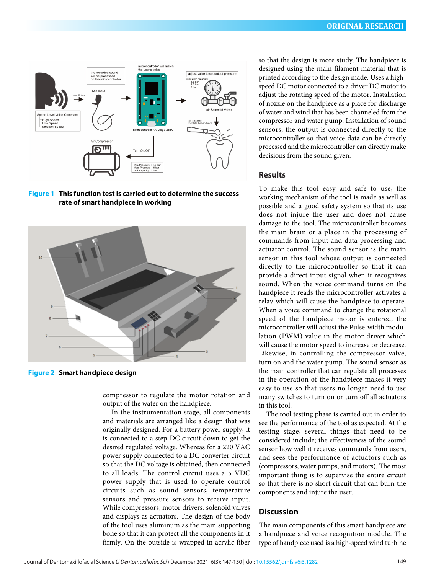<span id="page-2-0"></span>

**Figure 1 This function test is carried out to determine the success rate of smart handpiece in working**



**Figure 2 Smart handpiece design**

compressor to regulate the motor rotation and output of the water on the handpiece.

In the instrumentation stage, all components and materials are arranged like a design that was originally designed. For a battery power supply, it is connected to a step-DC circuit down to get the desired regulated voltage. Whereas for a 220 VAC power supply connected to a DC converter circuit so that the DC voltage is obtained, then connected to all loads. The control circuit uses a 5 VDC power supply that is used to operate control circuits such as sound sensors, temperature sensors and pressure sensors to receive input. While compressors, motor drivers, solenoid valves and displays as actuators. The design of the body of the tool uses aluminum as the main supporting bone so that it can protect all the components in it firmly. On the outside is wrapped in acrylic fiber

so that the design is more study. The handpiece is designed using the main filament material that is printed according to the design made. Uses a highspeed DC motor connected to a driver DC motor to adjust the rotating speed of the motor. Installation of nozzle [on](#page-3-0) the handpiece as a place for discharge of water and wind that has been channeled from the compressor and water pump. Installation of sound sensors, the output is connected directly to the microcontroller so that voice data can be directly processed and the microcontroller can directly make decisions from the sound given.

## **Results**

To make this tool easy and safe to use, the working mechanism of the tool is made as well [as](#page-3-0)  possible and a good safety system so that its use does not injure the user and does not cause damage to the tool. The microcontroller becomes the main brain or a place in the processing of commands from input and data processing and actuator control. The sound sensor is the main sensor in this tool whose output is connected directly to the microcontroller so that it can provide a direct input signal when it recognizes sound. When the voice command turns on the handpiece it reads the microcontroller activates a relay which will cause the handpiece to operate. When a voice command to change the rotational speed of the handpiece motor is entered, the microcontroller will adjust the Pulse-width modulation (PWM) value in the motor driver which will cause the motor speed to increase or decrease. Likewise, in controlling the compressor valve, turn on and the water pump. The sound sensor as the main controller that can regulate all processes in the operation of the han[dp](#page-3-0)iece makes it very easy to use so that users no longer need to use many switches to turn on or turn off all actuators in this tool.

The tool testing phase is carried out in order to see the performance of the to[ol a](#page-3-0)s expected. At the testing stage, several things that need to be considered include; the effectiveness of the sound sensor how well it receives commands from users, and sees the performance of actuators such as (compressors, water pumps, and motors). The most important thing is to supervise the entire [cir](#page-3-0)cuit so that there is no short circuit that can burn the components and injure the user.

#### **Discussion**

The main components of this smart handpiece are a handpiece and voice recognition module. The type of handpiece used is a high-speed wind turbine